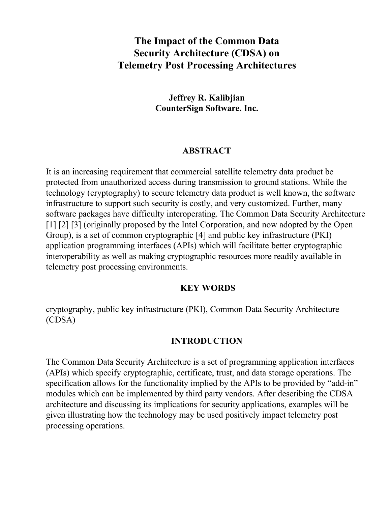# **The Impact of the Common Data Security Architecture (CDSA) on Telemetry Post Processing Architectures**

### **Jeffrey R. Kalibjian CounterSign Software, Inc.**

### **ABSTRACT**

It is an increasing requirement that commercial satellite telemetry data product be protected from unauthorized access during transmission to ground stations. While the technology (cryptography) to secure telemetry data product is well known, the software infrastructure to support such security is costly, and very customized. Further, many software packages have difficulty interoperating. The Common Data Security Architecture [1] [2] [3] (originally proposed by the Intel Corporation, and now adopted by the Open Group), is a set of common cryptographic [4] and public key infrastructure (PKI) application programming interfaces (APIs) which will facilitate better cryptographic interoperability as well as making cryptographic resources more readily available in telemetry post processing environments.

#### **KEY WORDS**

cryptography, public key infrastructure (PKI), Common Data Security Architecture (CDSA)

### **INTRODUCTION**

The Common Data Security Architecture is a set of programming application interfaces (APIs) which specify cryptographic, certificate, trust, and data storage operations. The specification allows for the functionality implied by the APIs to be provided by "add-in" modules which can be implemented by third party vendors. After describing the CDSA architecture and discussing its implications for security applications, examples will be given illustrating how the technology may be used positively impact telemetry post processing operations.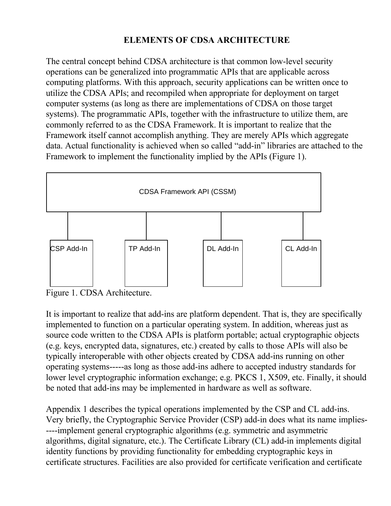## **ELEMENTS OF CDSA ARCHITECTURE**

The central concept behind CDSA architecture is that common low-level security operations can be generalized into programmatic APIs that are applicable across computing platforms. With this approach, security applications can be written once to utilize the CDSA APIs; and recompiled when appropriate for deployment on target computer systems (as long as there are implementations of CDSA on those target systems). The programmatic APIs, together with the infrastructure to utilize them, are commonly referred to as the CDSA Framework. It is important to realize that the Framework itself cannot accomplish anything. They are merely APIs which aggregate data. Actual functionality is achieved when so called "add-in" libraries are attached to the Framework to implement the functionality implied by the APIs (Figure 1).



Figure 1. CDSA Architecture.

It is important to realize that add-ins are platform dependent. That is, they are specifically implemented to function on a particular operating system. In addition, whereas just as source code written to the CDSA APIs is platform portable; actual cryptographic objects (e.g. keys, encrypted data, signatures, etc.) created by calls to those APIs will also be typically interoperable with other objects created by CDSA add-ins running on other operating systems-----as long as those add-ins adhere to accepted industry standards for lower level cryptographic information exchange; e.g. PKCS 1, X509, etc. Finally, it should be noted that add-ins may be implemented in hardware as well as software.

Appendix 1 describes the typical operations implemented by the CSP and CL add-ins. Very briefly, the Cryptographic Service Provider (CSP) add-in does what its name implies- ----implement general cryptographic algorithms (e.g. symmetric and asymmetric algorithms, digital signature, etc.). The Certificate Library (CL) add-in implements digital identity functions by providing functionality for embedding cryptographic keys in certificate structures. Facilities are also provided for certificate verification and certificate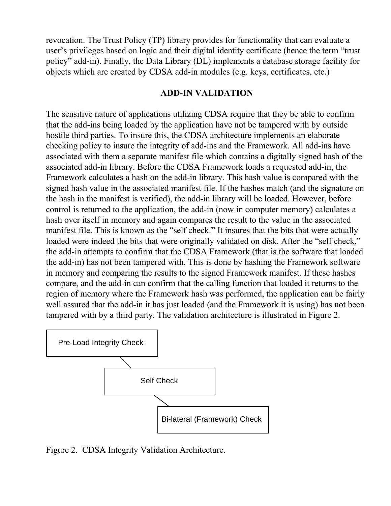revocation. The Trust Policy (TP) library provides for functionality that can evaluate a user's privileges based on logic and their digital identity certificate (hence the term "trust policy" add-in). Finally, the Data Library (DL) implements a database storage facility for objects which are created by CDSA add-in modules (e.g. keys, certificates, etc.)

#### **ADD-IN VALIDATION**

The sensitive nature of applications utilizing CDSA require that they be able to confirm that the add-ins being loaded by the application have not be tampered with by outside hostile third parties. To insure this, the CDSA architecture implements an elaborate checking policy to insure the integrity of add-ins and the Framework. All add-ins have associated with them a separate manifest file which contains a digitally signed hash of the associated add-in library. Before the CDSA Framework loads a requested add-in, the Framework calculates a hash on the add-in library. This hash value is compared with the signed hash value in the associated manifest file. If the hashes match (and the signature on the hash in the manifest is verified), the add-in library will be loaded. However, before control is returned to the application, the add-in (now in computer memory) calculates a hash over itself in memory and again compares the result to the value in the associated manifest file. This is known as the "self check." It insures that the bits that were actually loaded were indeed the bits that were originally validated on disk. After the "self check," the add-in attempts to confirm that the CDSA Framework (that is the software that loaded the add-in) has not been tampered with. This is done by hashing the Framework software in memory and comparing the results to the signed Framework manifest. If these hashes compare, and the add-in can confirm that the calling function that loaded it returns to the region of memory where the Framework hash was performed, the application can be fairly well assured that the add-in it has just loaded (and the Framework it is using) has not been tampered with by a third party. The validation architecture is illustrated in Figure 2.



Figure 2. CDSA Integrity Validation Architecture.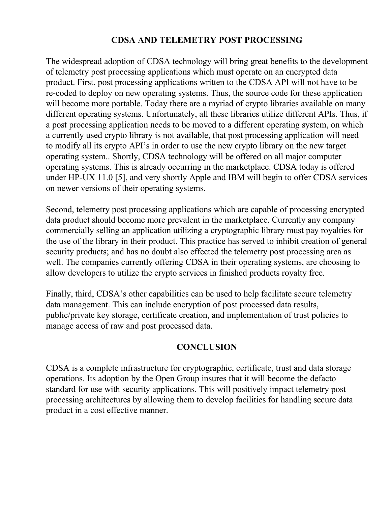## **CDSA AND TELEMETRY POST PROCESSING**

The widespread adoption of CDSA technology will bring great benefits to the development of telemetry post processing applications which must operate on an encrypted data product. First, post processing applications written to the CDSA API will not have to be re-coded to deploy on new operating systems. Thus, the source code for these application will become more portable. Today there are a myriad of crypto libraries available on many different operating systems. Unfortunately, all these libraries utilize different APIs. Thus, if a post processing application needs to be moved to a different operating system, on which a currently used crypto library is not available, that post processing application will need to modify all its crypto API's in order to use the new crypto library on the new target operating system.. Shortly, CDSA technology will be offered on all major computer operating systems. This is already occurring in the marketplace. CDSA today is offered under HP-UX 11.0 [5], and very shortly Apple and IBM will begin to offer CDSA services on newer versions of their operating systems.

Second, telemetry post processing applications which are capable of processing encrypted data product should become more prevalent in the marketplace. Currently any company commercially selling an application utilizing a cryptographic library must pay royalties for the use of the library in their product. This practice has served to inhibit creation of general security products; and has no doubt also effected the telemetry post processing area as well. The companies currently offering CDSA in their operating systems, are choosing to allow developers to utilize the crypto services in finished products royalty free.

Finally, third, CDSA's other capabilities can be used to help facilitate secure telemetry data management. This can include encryption of post processed data results, public/private key storage, certificate creation, and implementation of trust policies to manage access of raw and post processed data.

### **CONCLUSION**

CDSA is a complete infrastructure for cryptographic, certificate, trust and data storage operations. Its adoption by the Open Group insures that it will become the defacto standard for use with security applications. This will positively impact telemetry post processing architectures by allowing them to develop facilities for handling secure data product in a cost effective manner.